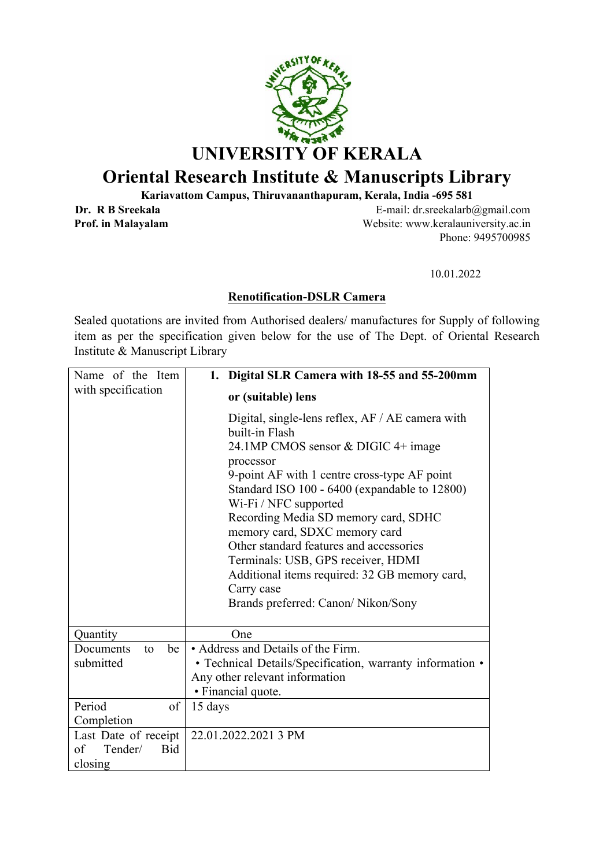

## **Oriental Research Institute & Manuscripts Library**

**Kariavattom Campus, Thiruvananthapuram, Kerala, India -695 581**

**Dr. R B Sreekala E-mail:** dr.sreekalarb@gmail.com **Prof. in Malayalam** Website: www.keralauniversity.ac.in Phone: 9495700985

10.01.2022

## **Renotification-DSLR Camera**

Sealed quotations are invited from Authorised dealers/ manufactures for Supply of following item as per the specification given below for the use of The Dept. of Oriental Research Institute & Manuscript Library

| Name of the Item            | 1. Digital SLR Camera with 18-55 and 55-200mm                                                                                                                                                                                                                                                                                                                                                                                                                                                                   |
|-----------------------------|-----------------------------------------------------------------------------------------------------------------------------------------------------------------------------------------------------------------------------------------------------------------------------------------------------------------------------------------------------------------------------------------------------------------------------------------------------------------------------------------------------------------|
| with specification          | or (suitable) lens                                                                                                                                                                                                                                                                                                                                                                                                                                                                                              |
|                             | Digital, single-lens reflex, AF / AE camera with<br>built-in Flash<br>24.1MP CMOS sensor & DIGIC 4+ image<br>processor<br>9-point AF with 1 centre cross-type AF point<br>Standard ISO 100 - 6400 (expandable to 12800)<br>Wi-Fi / NFC supported<br>Recording Media SD memory card, SDHC<br>memory card, SDXC memory card<br>Other standard features and accessories<br>Terminals: USB, GPS receiver, HDMI<br>Additional items required: 32 GB memory card,<br>Carry case<br>Brands preferred: Canon/Nikon/Sony |
| Quantity                    | One                                                                                                                                                                                                                                                                                                                                                                                                                                                                                                             |
| be<br>Documents<br>to       | • Address and Details of the Firm.                                                                                                                                                                                                                                                                                                                                                                                                                                                                              |
| submitted                   | • Technical Details/Specification, warranty information •                                                                                                                                                                                                                                                                                                                                                                                                                                                       |
|                             | Any other relevant information                                                                                                                                                                                                                                                                                                                                                                                                                                                                                  |
|                             | • Financial quote.                                                                                                                                                                                                                                                                                                                                                                                                                                                                                              |
| Period<br>of                | 15 days                                                                                                                                                                                                                                                                                                                                                                                                                                                                                                         |
| Completion                  |                                                                                                                                                                                                                                                                                                                                                                                                                                                                                                                 |
| Last Date of receipt        | 22.01.2022.2021 3 PM                                                                                                                                                                                                                                                                                                                                                                                                                                                                                            |
| of<br>Tender/<br><b>Bid</b> |                                                                                                                                                                                                                                                                                                                                                                                                                                                                                                                 |
| closing                     |                                                                                                                                                                                                                                                                                                                                                                                                                                                                                                                 |